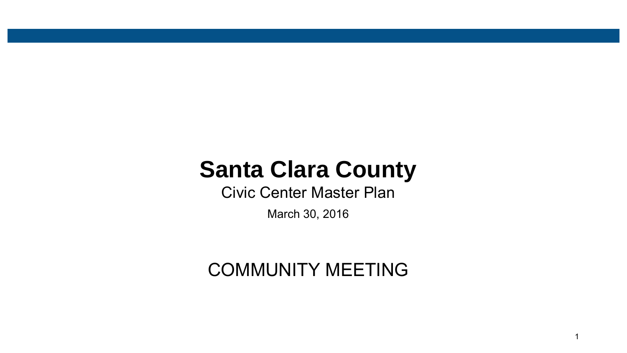# **Santa Clara County**

Civic Center Master Plan

March 30, 2016

# COMMUNITY MEETING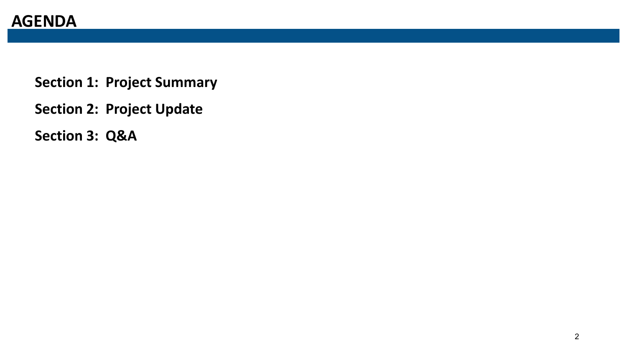

**Section 1: Project Summary**

**Section 2: Project Update**

**Section 3: Q&A**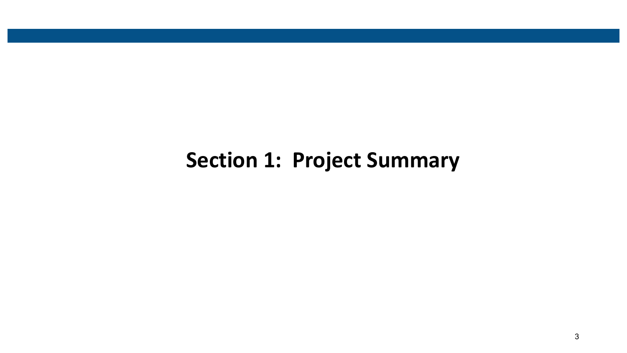# **Section 1: Project Summary**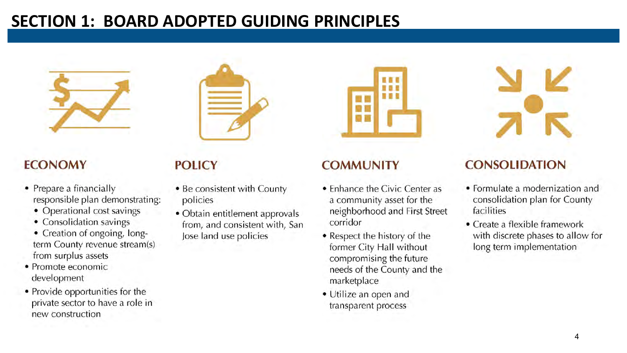### **SECTION 1: BOARD ADOPTED GUIDING PRINCIPLES**



#### **ECONOMY**

- Prepare a financially responsible plan demonstrating:
	- Operational cost savings
	- Consolidation savings
	- Creation of ongoing, longterm County revenue stream(s) from surplus assets
- Promote economic development
- Provide opportunities for the private sector to have a role in new construction

#### **POLICY**

- Be consistent with County policies
- Obtain entitlement approvals from, and consistent with, San Jose land use policies



#### **COMMUNITY**

- Enhance the Civic Center as a community asset for the neighborhood and First Street corridor
- Respect the history of the former City Hall without compromising the future needs of the County and the marketplace
- Utilize an open and transparent process



#### **CONSOLIDATION**

- Formulate a modernization and consolidation plan for County facilities
- Create a flexible framework with discrete phases to allow for long term implementation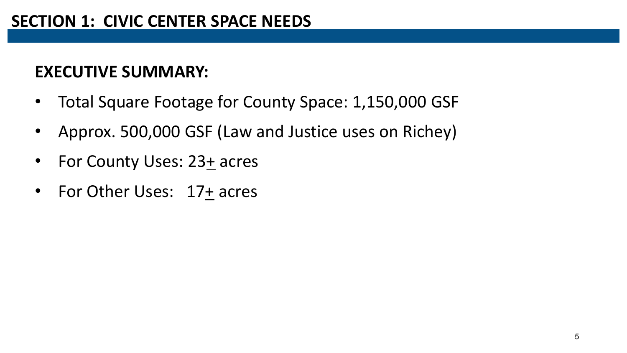## **EXECUTIVE SUMMARY:**

- Total Square Footage for County Space: 1,150,000 GSF
- Approx. 500,000 GSF (Law and Justice uses on Richey)
- For County Uses: 23+ acres
- For Other Uses: 17+ acres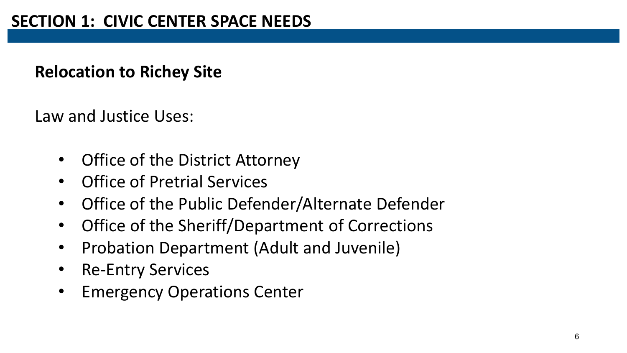## **Relocation to Richey Site**

Law and Justice Uses:

- Office of the District Attorney
- **Office of Pretrial Services**
- Office of the Public Defender/Alternate Defender
- Office of the Sheriff/Department of Corrections
- Probation Department (Adult and Juvenile)
- Re-Entry Services
- Emergency Operations Center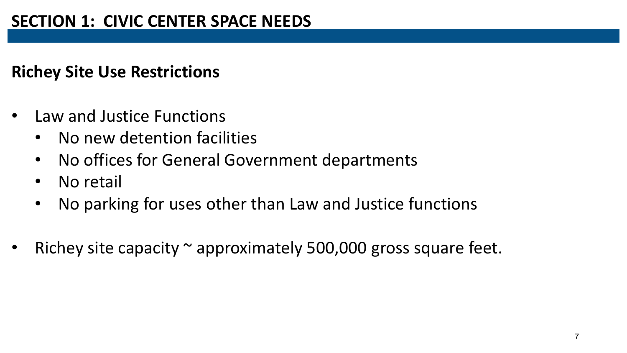## **Richey Site Use Restrictions**

- Law and Justice Functions
	- No new detention facilities
	- No offices for General Government departments
	- No retail
	- No parking for uses other than Law and Justice functions
- Richey site capacity  $\sim$  approximately 500,000 gross square feet.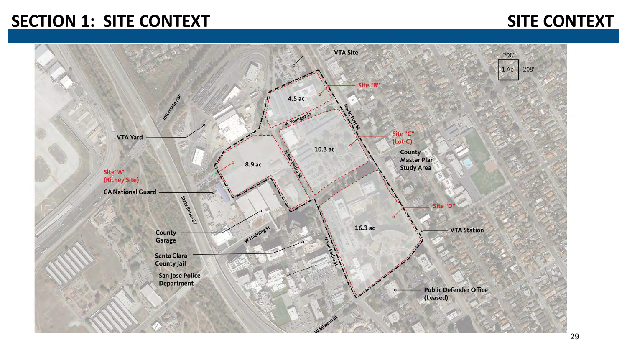### **SECTION 1: SITE CONTEXT** SITE CONTEXT

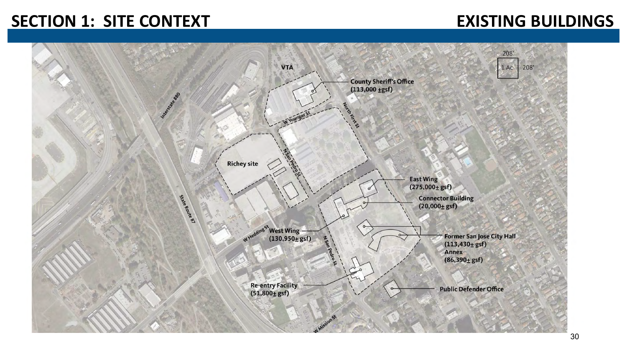### **SECTION 1: SITE CONTEXT EXISTING BUILDINGS**

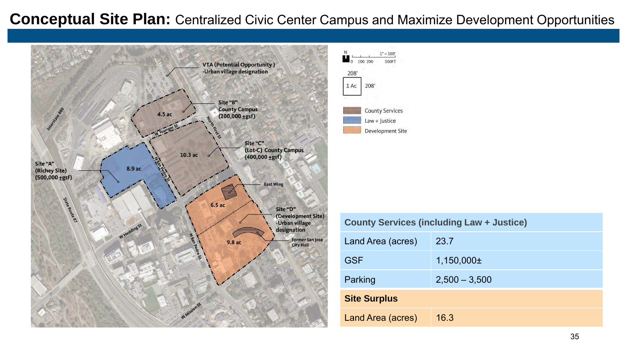#### **Conceptual Site Plan:** Centralized Civic Center Campus and Maximize Development Opportunities



| 1 Ac | 208'                   |
|------|------------------------|
|      |                        |
|      |                        |
|      | <b>County Services</b> |
|      | Law + Justice          |
|      | Development Site       |

 $1" = 100"$ 

500FT

100 200

| <b>County Services (including Law + Justice)</b> |                 |  |  |
|--------------------------------------------------|-----------------|--|--|
| Land Area (acres)                                | 23.7            |  |  |
| <b>GSF</b>                                       | $1,150,000\pm$  |  |  |
| Parking                                          | $2,500 - 3,500$ |  |  |
| <b>Site Surplus</b>                              |                 |  |  |
| Land Area (acres)                                | 16.3            |  |  |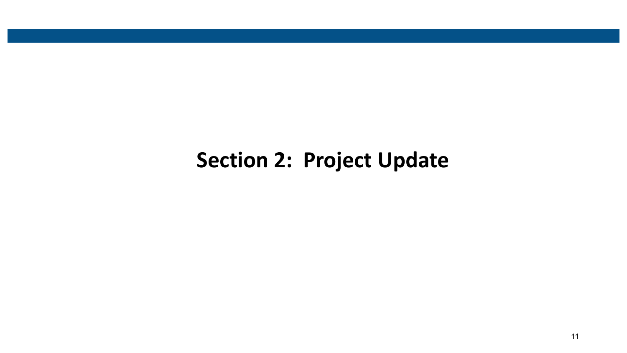# **Section 2: Project Update**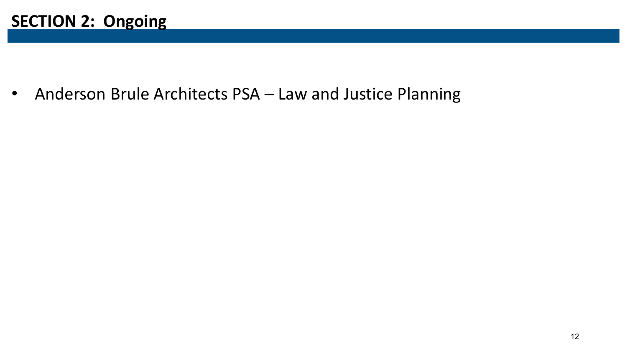• Anderson Brule Architects PSA – Law and Justice Planning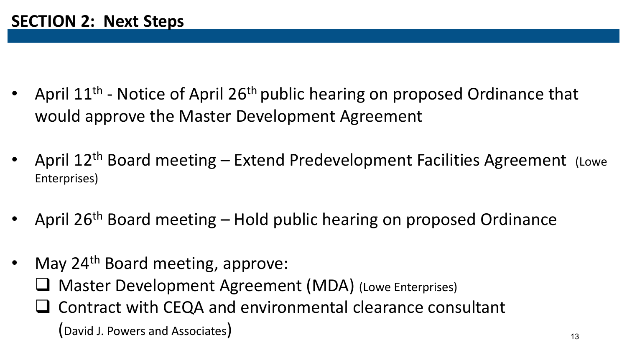- April 11<sup>th</sup> Notice of April 26<sup>th</sup> public hearing on proposed Ordinance that would approve the Master Development Agreement
- April 12th Board meeting Extend Predevelopment Facilities Agreement (Lowe Enterprises)
- April 26<sup>th</sup> Board meeting Hold public hearing on proposed Ordinance
- May 24<sup>th</sup> Board meeting, approve:
	- □ Master Development Agreement (MDA) (Lowe Enterprises)
	- $\Box$  Contract with CEQA and environmental clearance consultant (David J. Powers and Associates)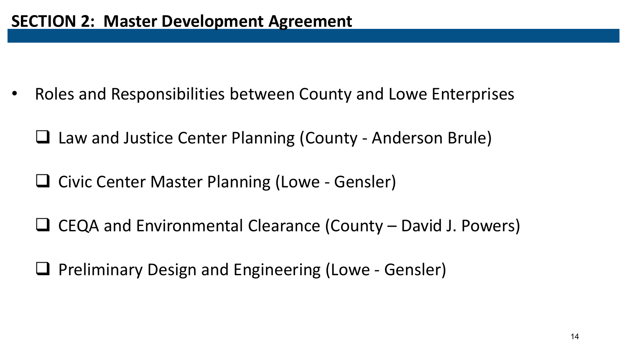- Roles and Responsibilities between County and Lowe Enterprises
	- Law and Justice Center Planning (County Anderson Brule)
	- $\Box$  Civic Center Master Planning (Lowe Gensler)
	- $\Box$  CEQA and Environmental Clearance (County David J. Powers)
	- $\Box$  Preliminary Design and Engineering (Lowe Gensler)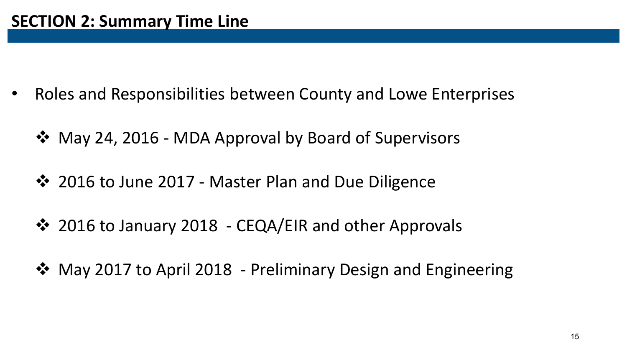- Roles and Responsibilities between County and Lowe Enterprises
	- May 24, 2016 MDA Approval by Board of Supervisors
	- ❖ 2016 to June 2017 Master Plan and Due Diligence
	- 2016 to January 2018 CEQA/EIR and other Approvals
	- May 2017 to April 2018 Preliminary Design and Engineering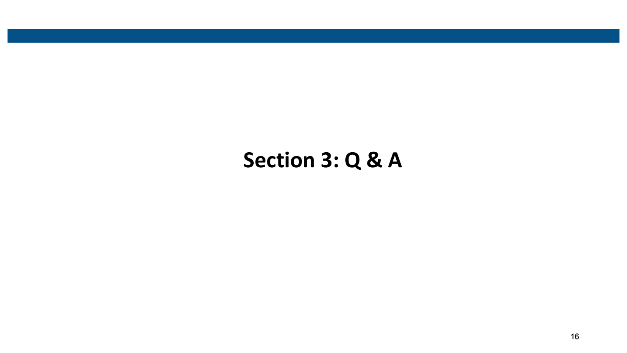# **Section 3: Q & A**